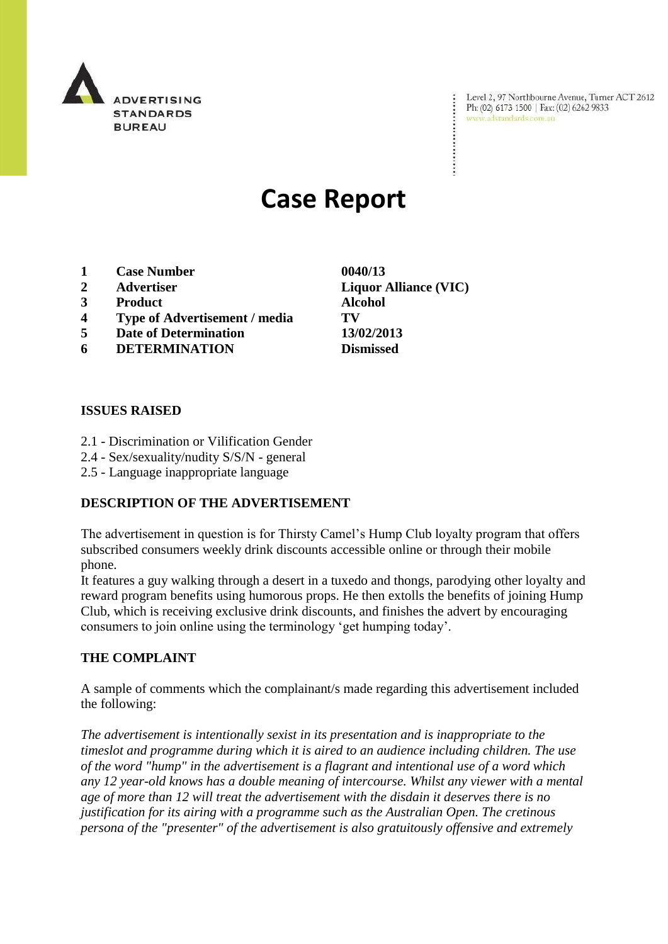

Level 2, 97 Northbourne Avenue, Turner ACT 2612 Ph: (02) 6173 1500 | Fax: (02) 6262 9833 www.adstandards.com.au

# **Case Report**

- **1 Case Number 0040/13**
- 
- **3 Product Alcohol**
- **4 Type of Advertisement / media TV**
- **5 Date of Determination 13/02/2013**
- **6 DETERMINATION Dismissed**

## **ISSUES RAISED**

- 2.1 Discrimination or Vilification Gender
- 2.4 Sex/sexuality/nudity S/S/N general
- 2.5 Language inappropriate language

## **DESCRIPTION OF THE ADVERTISEMENT**

The advertisement in question is for Thirsty Camel"s Hump Club loyalty program that offers subscribed consumers weekly drink discounts accessible online or through their mobile phone.

It features a guy walking through a desert in a tuxedo and thongs, parodying other loyalty and reward program benefits using humorous props. He then extolls the benefits of joining Hump Club, which is receiving exclusive drink discounts, and finishes the advert by encouraging consumers to join online using the terminology "get humping today".

## **THE COMPLAINT**

A sample of comments which the complainant/s made regarding this advertisement included the following:

*The advertisement is intentionally sexist in its presentation and is inappropriate to the timeslot and programme during which it is aired to an audience including children. The use of the word "hump" in the advertisement is a flagrant and intentional use of a word which any 12 year-old knows has a double meaning of intercourse. Whilst any viewer with a mental age of more than 12 will treat the advertisement with the disdain it deserves there is no justification for its airing with a programme such as the Australian Open. The cretinous persona of the "presenter" of the advertisement is also gratuitously offensive and extremely* 

**2 Advertiser Liquor Alliance (VIC)**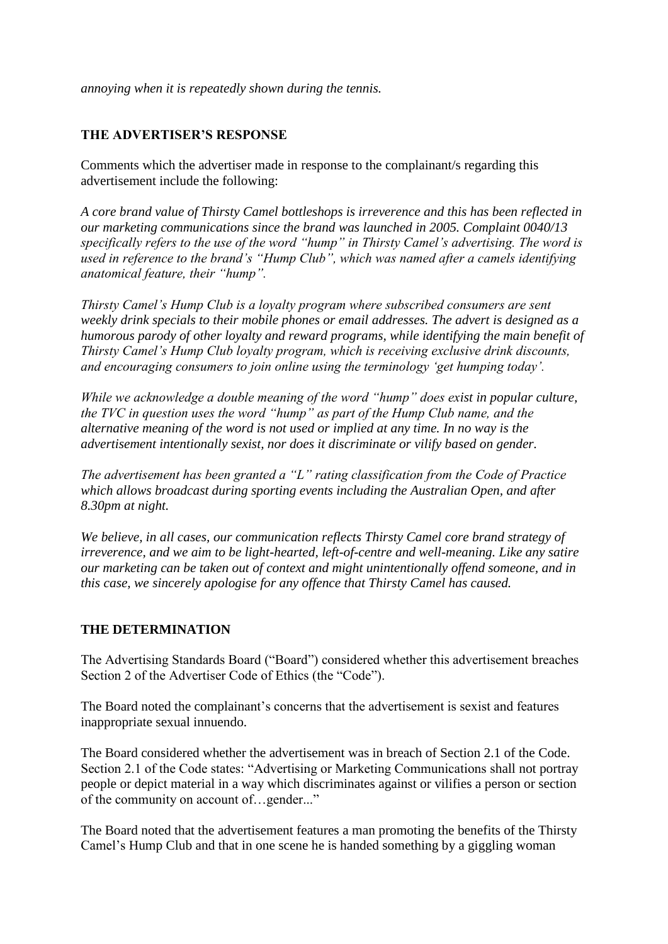*annoying when it is repeatedly shown during the tennis.*

#### **THE ADVERTISER'S RESPONSE**

Comments which the advertiser made in response to the complainant/s regarding this advertisement include the following:

*A core brand value of Thirsty Camel bottleshops is irreverence and this has been reflected in our marketing communications since the brand was launched in 2005. Complaint 0040/13 specifically refers to the use of the word "hump" in Thirsty Camel"s advertising. The word is used in reference to the brand"s "Hump Club", which was named after a camels identifying anatomical feature, their "hump".*

*Thirsty Camel"s Hump Club is a loyalty program where subscribed consumers are sent weekly drink specials to their mobile phones or email addresses. The advert is designed as a humorous parody of other loyalty and reward programs, while identifying the main benefit of Thirsty Camel"s Hump Club loyalty program, which is receiving exclusive drink discounts, and encouraging consumers to join online using the terminology "get humping today".*

*While we acknowledge a double meaning of the word "hump" does exist in popular culture, the TVC in question uses the word "hump" as part of the Hump Club name, and the alternative meaning of the word is not used or implied at any time. In no way is the advertisement intentionally sexist, nor does it discriminate or vilify based on gender.*

*The advertisement has been granted a "L" rating classification from the Code of Practice which allows broadcast during sporting events including the Australian Open, and after 8.30pm at night.*

*We believe, in all cases, our communication reflects Thirsty Camel core brand strategy of irreverence, and we aim to be light-hearted, left-of-centre and well-meaning. Like any satire our marketing can be taken out of context and might unintentionally offend someone, and in this case, we sincerely apologise for any offence that Thirsty Camel has caused.*

#### **THE DETERMINATION**

The Advertising Standards Board ("Board") considered whether this advertisement breaches Section 2 of the Advertiser Code of Ethics (the "Code").

The Board noted the complainant's concerns that the advertisement is sexist and features inappropriate sexual innuendo.

The Board considered whether the advertisement was in breach of Section 2.1 of the Code. Section 2.1 of the Code states: "Advertising or Marketing Communications shall not portray people or depict material in a way which discriminates against or vilifies a person or section of the community on account of…gender..."

The Board noted that the advertisement features a man promoting the benefits of the Thirsty Camel"s Hump Club and that in one scene he is handed something by a giggling woman